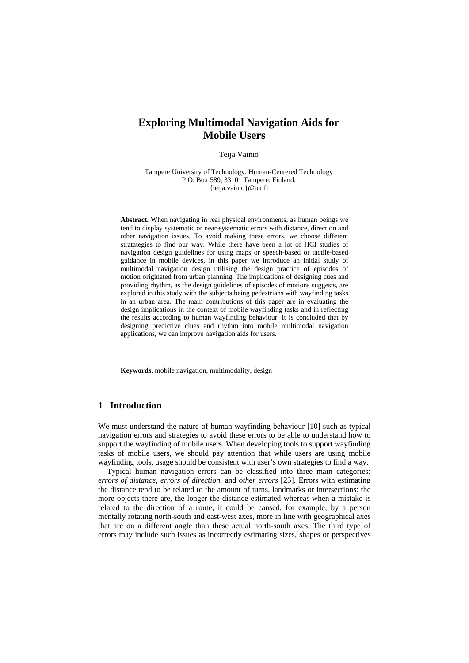# **Exploring Multimodal Navigation Aids for Mobile Users**

Teija Vainio

Tampere University of Technology, Human-Centered Technology P.O. Box 589, 33101 Tampere, Finland, {teija.vainio}@tut.fi

**Abstract.** When navigating in real physical environments, as human beings we tend to display systematic or near-systematic errors with distance, direction and other navigation issues. To avoid making these errors, we choose different stratategies to find our way. While there have been a lot of HCI studies of navigation design guidelines for using maps or speech-based or tactile-based guidance in mobile devices, in this paper we introduce an initial study of multimodal navigation design utilising the design practice of episodes of motion originated from urban planning. The implications of designing cues and providing rhythm, as the design guidelines of episodes of motions suggests, are explored in this study with the subjects being pedestrians with wayfinding tasks in an urban area. The main contributions of this paper are in evaluating the design implications in the context of mobile wayfinding tasks and in reflecting the results according to human wayfinding behaviour. It is concluded that by designing predictive clues and rhythm into mobile multimodal navigation applications, we can improve navigation aids for users.

**Keywords**. mobile navigation, multimodality, design

### **1 Introduction**

We must understand the nature of human wayfinding behaviour [10] such as typical navigation errors and strategies to avoid these errors to be able to understand how to support the wayfinding of mobile users. When developing tools to support wayfinding tasks of mobile users, we should pay attention that while users are using mobile wayfinding tools, usage should be consistent with user's own strategies to find a way.

Typical human navigation errors can be classified into three main categories: *errors of distance, errors of direction*, and *other errors* [25]*.* Errors with estimating the distance tend to be related to the amount of turns, landmarks or intersections: the more objects there are, the longer the distance estimated whereas when a mistake is related to the direction of a route, it could be caused, for example, by a person mentally rotating north-south and east-west axes, more in line with geographical axes that are on a different angle than these actual north-south axes. The third type of errors may include such issues as incorrectly estimating sizes, shapes or perspectives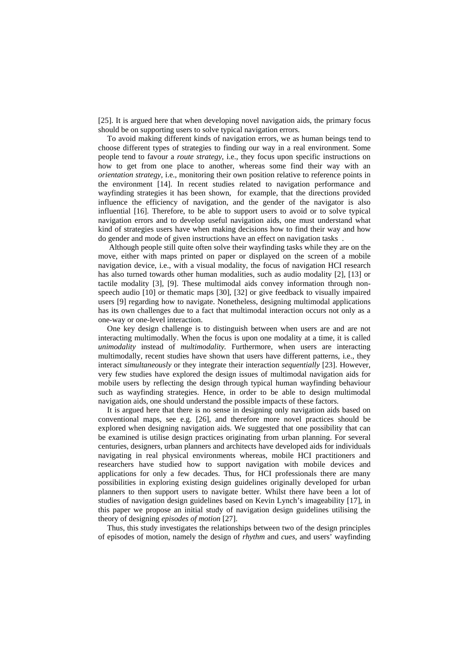[25]. It is argued here that when developing novel navigation aids, the primary focus should be on supporting users to solve typical navigation errors.

To avoid making different kinds of navigation errors, we as human beings tend to choose different types of strategies to finding our way in a real environment. Some people tend to favour a *route strategy*, i.e., they focus upon specific instructions on how to get from one place to another, whereas some find their way with an *orientation strategy,* i.e., monitoring their own position relative to reference points in the environment [14]. In recent studies related to navigation performance and wayfinding strategies it has been shown, for example, that the directions provided influence the efficiency of navigation, and the gender of the navigator is also influential [16]. Therefore, to be able to support users to avoid or to solve typical navigation errors and to develop useful navigation aids, one must understand what kind of strategies users have when making decisions how to find their way and how do gender and mode of given instructions have an effect on navigation tasks .

 Although people still quite often solve their wayfinding tasks while they are on the move, either with maps printed on paper or displayed on the screen of a mobile navigation device, i.e., with a visual modality, the focus of navigation HCI research has also turned towards other human modalities, such as audio modality [2], [13] or tactile modality [3], [9]. These multimodal aids convey information through nonspeech audio [10] or thematic maps [30], [32] or give feedback to visually impaired users [9] regarding how to navigate. Nonetheless, designing multimodal applications has its own challenges due to a fact that multimodal interaction occurs not only as a one-way or one-level interaction.

One key design challenge is to distinguish between when users are and are not interacting multimodally. When the focus is upon one modality at a time, it is called *unimodality* instead of *multimodality.* Furthermore, when users are interacting multimodally, recent studies have shown that users have different patterns, i.e., they interact *simultaneously* or they integrate their interaction *sequentially* [23]. However, very few studies have explored the design issues of multimodal navigation aids for mobile users by reflecting the design through typical human wayfinding behaviour such as wayfinding strategies. Hence, in order to be able to design multimodal navigation aids, one should understand the possible impacts of these factors.

It is argued here that there is no sense in designing only navigation aids based on conventional maps, see e.g. [26], and therefore more novel practices should be explored when designing navigation aids. We suggested that one possibility that can be examined is utilise design practices originating from urban planning. For several centuries, designers, urban planners and architects have developed aids for individuals navigating in real physical environments whereas, mobile HCI practitioners and researchers have studied how to support navigation with mobile devices and applications for only a few decades. Thus, for HCI professionals there are many possibilities in exploring existing design guidelines originally developed for urban planners to then support users to navigate better. Whilst there have been a lot of studies of navigation design guidelines based on Kevin Lynch's imageability [17], in this paper we propose an initial study of navigation design guidelines utilising the theory of designing *episodes of motion* [27].

Thus, this study investigates the relationships between two of the design principles of episodes of motion, namely the design of *rhythm* and *cues*, and users' wayfinding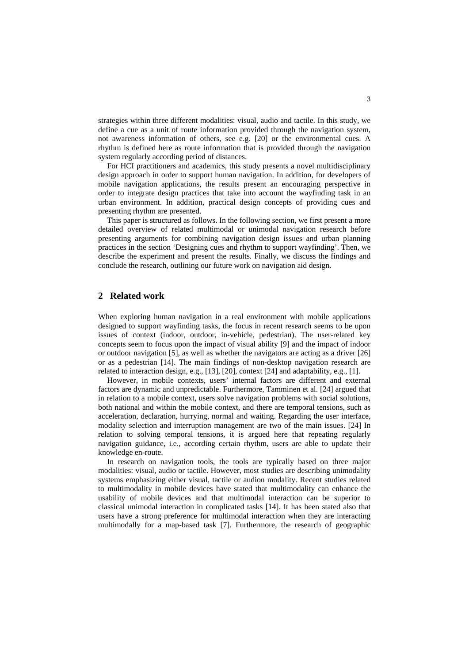strategies within three different modalities: visual, audio and tactile. In this study, we define a cue as a unit of route information provided through the navigation system, not awareness information of others, see e.g. [20] or the environmental cues. A rhythm is defined here as route information that is provided through the navigation system regularly according period of distances.

For HCI practitioners and academics, this study presents a novel multidisciplinary design approach in order to support human navigation. In addition, for developers of mobile navigation applications, the results present an encouraging perspective in order to integrate design practices that take into account the wayfinding task in an urban environment. In addition, practical design concepts of providing cues and presenting rhythm are presented.

This paper is structured as follows. In the following section, we first present a more detailed overview of related multimodal or unimodal navigation research before presenting arguments for combining navigation design issues and urban planning practices in the section 'Designing cues and rhythm to support wayfinding'. Then, we describe the experiment and present the results. Finally, we discuss the findings and conclude the research, outlining our future work on navigation aid design.

## **2 Related work**

When exploring human navigation in a real environment with mobile applications designed to support wayfinding tasks, the focus in recent research seems to be upon issues of context (indoor, outdoor, in-vehicle, pedestrian). The user-related key concepts seem to focus upon the impact of visual ability [9] and the impact of indoor or outdoor navigation [5], as well as whether the navigators are acting as a driver [26] or as a pedestrian [14]. The main findings of non-desktop navigation research are related to interaction design, e.g., [13], [20], context [24] and adaptability, e.g., [1].

However, in mobile contexts, users' internal factors are different and external factors are dynamic and unpredictable. Furthermore, Tamminen et al. [24] argued that in relation to a mobile context, users solve navigation problems with social solutions, both national and within the mobile context, and there are temporal tensions, such as acceleration, declaration, hurrying, normal and waiting. Regarding the user interface, modality selection and interruption management are two of the main issues. [24] In relation to solving temporal tensions, it is argued here that repeating regularly navigation guidance, i.e., according certain rhythm, users are able to update their knowledge en-route.

In research on navigation tools, the tools are typically based on three major modalities: visual, audio or tactile. However, most studies are describing unimodality systems emphasizing either visual, tactile or audion modality. Recent studies related to multimodality in mobile devices have stated that multimodality can enhance the usability of mobile devices and that multimodal interaction can be superior to classical unimodal interaction in complicated tasks [14]. It has been stated also that users have a strong preference for multimodal interaction when they are interacting multimodally for a map-based task [7]. Furthermore, the research of geographic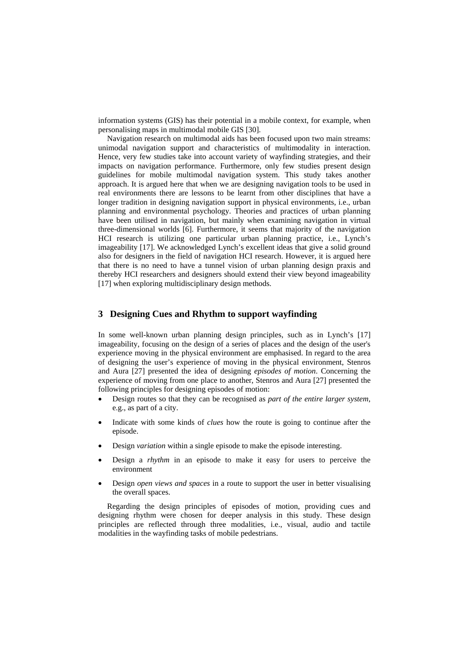information systems (GIS) has their potential in a mobile context, for example, when personalising maps in multimodal mobile GIS [30].

Navigation research on multimodal aids has been focused upon two main streams: unimodal navigation support and characteristics of multimodality in interaction. Hence, very few studies take into account variety of wayfinding strategies, and their impacts on navigation performance. Furthermore, only few studies present design guidelines for mobile multimodal navigation system. This study takes another approach. It is argued here that when we are designing navigation tools to be used in real environments there are lessons to be learnt from other disciplines that have a longer tradition in designing navigation support in physical environments, i.e., urban planning and environmental psychology. Theories and practices of urban planning have been utilised in navigation, but mainly when examining navigation in virtual three-dimensional worlds [6]. Furthermore, it seems that majority of the navigation HCI research is utilizing one particular urban planning practice, i.e., Lynch's imageability [17]. We acknowledged Lynch's excellent ideas that give a solid ground also for designers in the field of navigation HCI research. However, it is argued here that there is no need to have a tunnel vision of urban planning design praxis and thereby HCI researchers and designers should extend their view beyond imageability [17] when exploring multidisciplinary design methods.

# **3 Designing Cues and Rhythm to support wayfinding**

In some well-known urban planning design principles, such as in Lynch's [17] imageability, focusing on the design of a series of places and the design of the user's experience moving in the physical environment are emphasised. In regard to the area of designing the user's experience of moving in the physical environment, Stenros and Aura [27] presented the idea of designing *episodes of motion*. Concerning the experience of moving from one place to another, Stenros and Aura [27] presented the following principles for designing episodes of motion:

- Design routes so that they can be recognised as *part of the entire larger system*, e.g., as part of a city.
- Indicate with some kinds of *clues* how the route is going to continue after the episode.
- Design *variation* within a single episode to make the episode interesting.
- Design a *rhythm* in an episode to make it easy for users to perceive the environment
- Design *open views and spaces* in a route to support the user in better visualising the overall spaces.

Regarding the design principles of episodes of motion, providing cues and designing rhythm were chosen for deeper analysis in this study. These design principles are reflected through three modalities, i.e., visual, audio and tactile modalities in the wayfinding tasks of mobile pedestrians.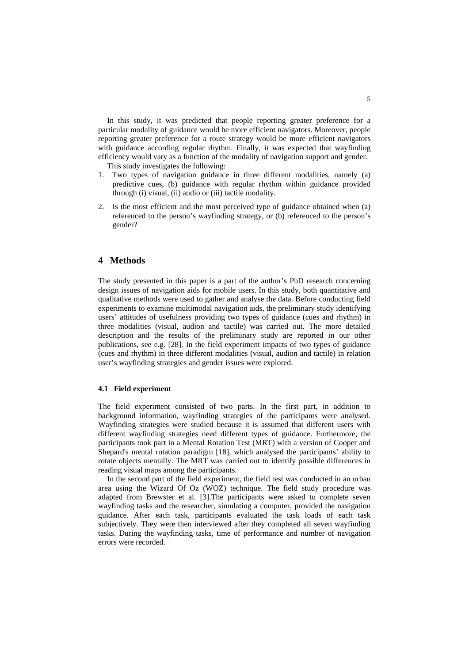In this study, it was predicted that people reporting greater preference for a particular modality of guidance would be more efficient navigators. Moreover, people reporting greater preference for a route strategy would be more efficient navigators with guidance according regular rhythm. Finally, it was expected that wayfinding efficiency would vary as a function of the modality of navigation support and gender.

This study investigates the following:

- 1. Two types of navigation guidance in three different modalities, namely (a) predictive cues, (b) guidance with regular rhythm within guidance provided through (i) visual, (ii) audio or (iii) tactile modality.
- 2. Is the most efficient and the most perceived type of guidance obtained when (a) referenced to the person's wayfinding strategy, or (b) referenced to the person's gender?

### **4 Methods**

The study presented in this paper is a part of the author's PhD research concerning design issues of navigation aids for mobile users. In this study, both quantitative and qualitative methods were used to gather and analyse the data. Before conducting field experiments to examine multimodal navigation aids, the preliminary study identifying users' attitudes of usefulness providing two types of guidance (cues and rhythm) in three modalities (visual, audion and tactile) was carried out. The more detailed description and the results of the preliminary study are reported in our other publications, see e.g. [28]. In the field experiment impacts of two types of guidance (cues and rhythm) in three different modalities (visual, audion and tactile) in relation user's wayfinding strategies and gender issues were explored.

#### **4.1 Field experiment**

The field experiment consisted of two parts. In the first part, in addition to background information, wayfinding strategies of the participants were analysed. Wayfinding strategies were studied because it is assumed that different users with different wayfinding strategies need different types of guidance. Furthermore, the participants took part in a Mental Rotation Test (MRT) with a version of Cooper and Shepard's mental rotation paradigm [18], which analysed the participants' ability to rotate objects mentally. The MRT was carried out to identify possible differences in reading visual maps among the participants.

In the second part of the field experiment, the field test was conducted in an urban area using the Wizard Of Oz (WOZ) technique. The field study procedure was adapted from Brewster et al. [3].The participants were asked to complete seven wayfinding tasks and the researcher, simulating a computer, provided the navigation guidance. After each task, participants evaluated the task loads of each task subjectively. They were then interviewed after they completed all seven wayfinding tasks. During the wayfinding tasks, time of performance and number of navigation errors were recorded.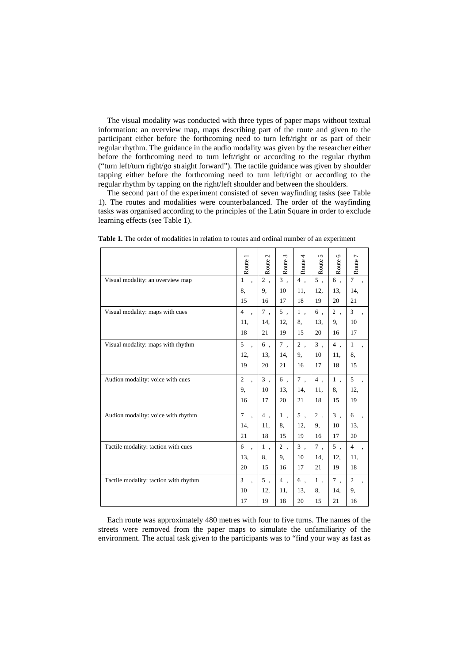The visual modality was conducted with three types of paper maps without textual information: an overview map, maps describing part of the route and given to the participant either before the forthcoming need to turn left/right or as part of their regular rhythm. The guidance in the audio modality was given by the researcher either before the forthcoming need to turn left/right or according to the regular rhythm ("turn left/turn right/go straight forward"). The tactile guidance was given by shoulder tapping either before the forthcoming need to turn left/right or according to the regular rhythm by tapping on the right/left shoulder and between the shoulders.

The second part of the experiment consisted of seven wayfinding tasks (see Table 1). The routes and modalities were counterbalanced. The order of the wayfinding tasks was organised according to the principles of the Latin Square in order to exclude learning effects (see Table 1).

|                                       | Route 1                                  | $\mathcal{L}$<br>Route | 3<br>Route | Route 4 | 5<br>Route | $\circ$<br>Route | Route 7                                    |
|---------------------------------------|------------------------------------------|------------------------|------------|---------|------------|------------------|--------------------------------------------|
| Visual modality: an overview map      | $\mathbf{1}$<br>$\overline{\phantom{a}}$ | 2,                     | 3,         | 4,      | 5,         | 6,               | $\tau$<br>$\overline{\phantom{a}}$         |
|                                       | 8,                                       | 9,                     | 10         | 11,     | 12.        | 13,              | 14,                                        |
|                                       | 15                                       | 16                     | 17         | 18      | 19         | 20               | 21                                         |
| Visual modality: maps with cues       | $\overline{4}$<br>$\cdot$                | 7,                     | 5,         | $1$ ,   | 6,         | 2,               | $\overline{3}$<br>$\overline{\phantom{a}}$ |
|                                       | 11,                                      | 14,                    | 12.        | 8,      | 13.        | 9,               | 10                                         |
|                                       | 18                                       | 21                     | 19         | 15      | 20         | 16               | 17                                         |
| Visual modality: maps with rhythm     | 5<br>$\ddot{\phantom{1}}$                | 6,                     | $7$ ,      | 2,      | $3$ ,      | $4$ ,            | $\mathbf{1}$<br>$\ddot{\phantom{0}}$       |
|                                       | 12,                                      | 13,                    | 14,        | 9,      | 10         | 11,              | 8,                                         |
|                                       | 19                                       | 20                     | 21         | 16      | 17         | 18               | 15                                         |
| Audion modality: voice with cues      | $\overline{c}$<br>$\ddot{\phantom{0}}$   | $3$ .                  | 6,         | $7\;$ , | $4$ ,      | $1$ ,            | 5<br>$\overline{\phantom{a}}$              |
|                                       | 9,                                       | 10                     | 13.        | 14,     | 11,        | 8.               | 12,                                        |
|                                       | 16                                       | 17                     | 20         | 21      | 18         | 15               | 19                                         |
| Audion modality: voice with rhythm    | $\tau$<br>$\cdot$                        | 4,                     | 1,         | 5,      | $2$ ,      | 3,               | 6<br>$\overline{ }$                        |
|                                       | 14,                                      | 11,                    | 8,         | 12.     | 9,         | 10               | 13,                                        |
|                                       | 21                                       | 18                     | 15         | 19      | 16         | 17               | 20                                         |
| Tactile modality: taction with cues   | 6<br>$\overline{\phantom{a}}$            | 1,                     | 2,         | $3$ ,   | 7,         | 5,               | $\overline{4}$<br>ä,                       |
|                                       | 13,                                      | 8,                     | 9,         | 10      | 14,        | 12,              | 11,                                        |
|                                       | 20                                       | 15                     | 16         | 17      | 21         | 19               | 18                                         |
| Tactile modality: taction with rhythm | 3<br>$\overline{\phantom{a}}$            | 5,                     | $4$ ,      | 6,      | 1,         | $7\,$ ,          | $\overline{c}$                             |
|                                       | 10                                       | 12,                    | 11,        | 13.     | 8,         | 14,              | 9,                                         |
|                                       | 17                                       | 19                     | 18         | 20      | 15         | 21               | 16                                         |

**Table 1.** The order of modalities in relation to routes and ordinal number of an experiment

Each route was approximately 480 metres with four to five turns. The names of the streets were removed from the paper maps to simulate the unfamiliarity of the environment. The actual task given to the participants was to "find your way as fast as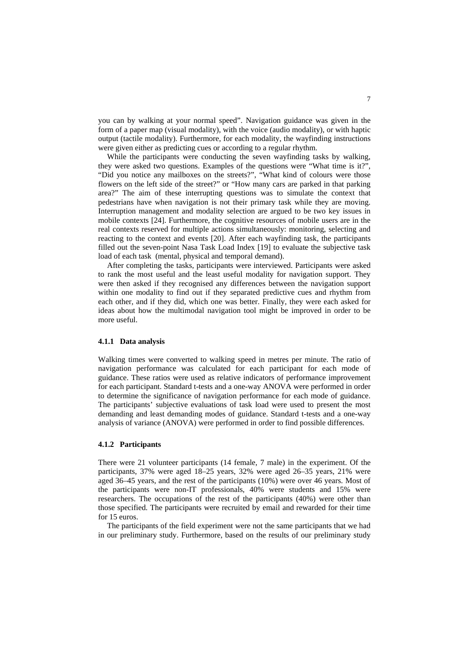you can by walking at your normal speed". Navigation guidance was given in the form of a paper map (visual modality), with the voice (audio modality), or with haptic output (tactile modality). Furthermore, for each modality, the wayfinding instructions were given either as predicting cues or according to a regular rhythm.

While the participants were conducting the seven wayfinding tasks by walking, they were asked two questions. Examples of the questions were "What time is it?", "Did you notice any mailboxes on the streets?", "What kind of colours were those flowers on the left side of the street?" or "How many cars are parked in that parking area?" The aim of these interrupting questions was to simulate the context that pedestrians have when navigation is not their primary task while they are moving. Interruption management and modality selection are argued to be two key issues in mobile contexts [24]. Furthermore, the cognitive resources of mobile users are in the real contexts reserved for multiple actions simultaneously: monitoring, selecting and reacting to the context and events [20]. After each wayfinding task, the participants filled out the seven-point Nasa Task Load Index [19] to evaluate the subjective task load of each task (mental, physical and temporal demand).

After completing the tasks, participants were interviewed. Participants were asked to rank the most useful and the least useful modality for navigation support. They were then asked if they recognised any differences between the navigation support within one modality to find out if they separated predictive cues and rhythm from each other, and if they did, which one was better. Finally, they were each asked for ideas about how the multimodal navigation tool might be improved in order to be more useful.

#### **4.1.1 Data analysis**

Walking times were converted to walking speed in metres per minute. The ratio of navigation performance was calculated for each participant for each mode of guidance. These ratios were used as relative indicators of performance improvement for each participant. Standard t-tests and a one-way ANOVA were performed in order to determine the significance of navigation performance for each mode of guidance. The participants' subjective evaluations of task load were used to present the most demanding and least demanding modes of guidance. Standard t-tests and a one-way analysis of variance (ANOVA) were performed in order to find possible differences.

### **4.1.2 Participants**

There were 21 volunteer participants (14 female, 7 male) in the experiment. Of the participants, 37% were aged 18–25 years, 32% were aged 26–35 years, 21% were aged 36–45 years, and the rest of the participants (10%) were over 46 years. Most of the participants were non-IT professionals, 40% were students and 15% were researchers. The occupations of the rest of the participants (40%) were other than those specified. The participants were recruited by email and rewarded for their time for 15 euros.

The participants of the field experiment were not the same participants that we had in our preliminary study. Furthermore, based on the results of our preliminary study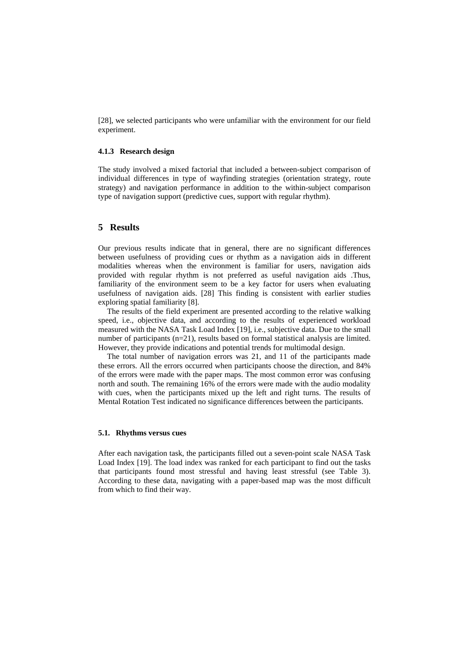[28], we selected participants who were unfamiliar with the environment for our field experiment.

#### **4.1.3 Research design**

The study involved a mixed factorial that included a between-subject comparison of individual differences in type of wayfinding strategies (orientation strategy, route strategy) and navigation performance in addition to the within-subject comparison type of navigation support (predictive cues, support with regular rhythm).

### **5 Results**

Our previous results indicate that in general, there are no significant differences between usefulness of providing cues or rhythm as a navigation aids in different modalities whereas when the environment is familiar for users, navigation aids provided with regular rhythm is not preferred as useful navigation aids .Thus, familiarity of the environment seem to be a key factor for users when evaluating usefulness of navigation aids. [28] This finding is consistent with earlier studies exploring spatial familiarity [8].

The results of the field experiment are presented according to the relative walking speed, i.e., objective data, and according to the results of experienced workload measured with the NASA Task Load Index [19], i.e., subjective data. Due to the small number of participants (n=21), results based on formal statistical analysis are limited. However, they provide indications and potential trends for multimodal design.

The total number of navigation errors was 21, and 11 of the participants made these errors. All the errors occurred when participants choose the direction, and 84% of the errors were made with the paper maps. The most common error was confusing north and south. The remaining 16% of the errors were made with the audio modality with cues, when the participants mixed up the left and right turns. The results of Mental Rotation Test indicated no significance differences between the participants.

#### **5.1. Rhythms versus cues**

After each navigation task, the participants filled out a seven-point scale NASA Task Load Index [19]. The load index was ranked for each participant to find out the tasks that participants found most stressful and having least stressful (see Table 3). According to these data, navigating with a paper-based map was the most difficult from which to find their way.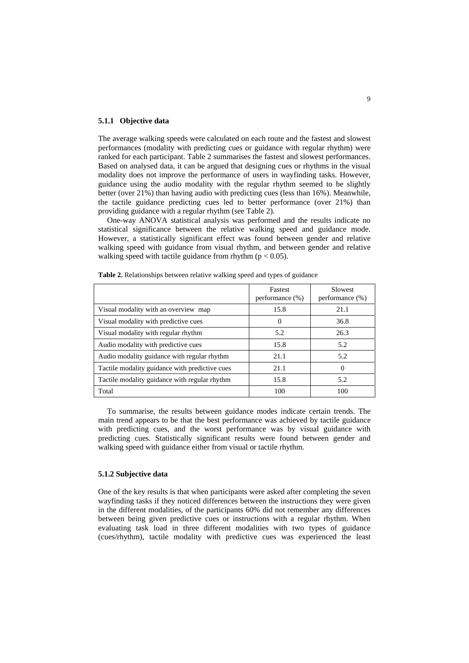#### **5.1.1 Objective data**

The average walking speeds were calculated on each route and the fastest and slowest performances (modality with predicting cues or guidance with regular rhythm) were ranked for each participant. Table 2 summarises the fastest and slowest performances. Based on analysed data, it can be argued that designing cues or rhythms in the visual modality does not improve the performance of users in wayfinding tasks. However, guidance using the audio modality with the regular rhythm seemed to be slightly better (over 21%) than having audio with predicting cues (less than 16%). Meanwhile, the tactile guidance predicting cues led to better performance (over 21%) than providing guidance with a regular rhythm (see Table 2).

One-way ANOVA statistical analysis was performed and the results indicate no statistical significance between the relative walking speed and guidance mode. However, a statistically significant effect was found between gender and relative walking speed with guidance from visual rhythm, and between gender and relative walking speed with tactile guidance from rhythm ( $p < 0.05$ ).

|                                                | Fastest<br>performance (%) | Slowest<br>performance (%) |
|------------------------------------------------|----------------------------|----------------------------|
| Visual modality with an overview map           | 15.8                       | 21.1                       |
| Visual modality with predictive cues           | 0                          | 36.8                       |
| Visual modality with regular rhythm            | 5.2                        | 26.3                       |
| Audio modality with predictive cues            | 15.8                       | 5.2                        |
| Audio modality guidance with regular rhythm    | 21.1                       | 5.2                        |
| Tactile modality guidance with predictive cues | 21.1                       | $\Omega$                   |
| Tactile modality guidance with regular rhythm  | 15.8                       | 5.2                        |
| Total                                          | 100                        | 100                        |

**Table 2.** Relationships between relative walking speed and types of guidance

To summarise, the results between guidance modes indicate certain trends. The main trend appears to be that the best performance was achieved by tactile guidance with predicting cues, and the worst performance was by visual guidance with predicting cues. Statistically significant results were found between gender and walking speed with guidance either from visual or tactile rhythm.

### **5.1.2 Subjective data**

One of the key results is that when participants were asked after completing the seven wayfinding tasks if they noticed differences between the instructions they were given in the different modalities, of the participants 60% did not remember any differences between being given predictive cues or instructions with a regular rhythm. When evaluating task load in three different modalities with two types of guidance (cues/rhythm), tactile modality with predictive cues was experienced the least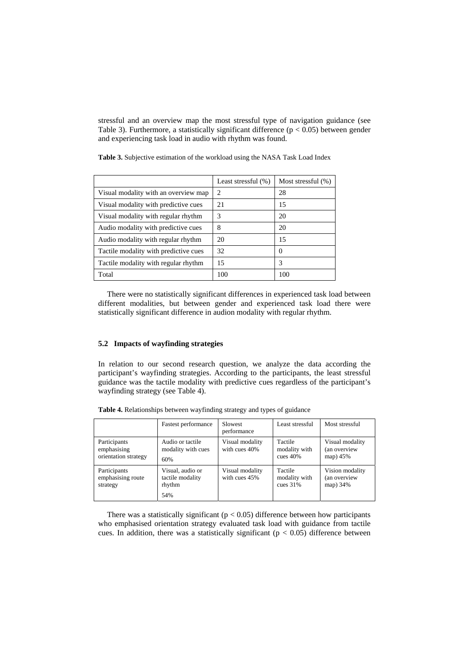stressful and an overview map the most stressful type of navigation guidance (see Table 3). Furthermore, a statistically significant difference ( $p < 0.05$ ) between gender and experiencing task load in audio with rhythm was found.

|                                       | Least stressful $(\%)$ | Most stressful $(\%)$ |
|---------------------------------------|------------------------|-----------------------|
| Visual modality with an overview map  | $\overline{c}$         | 28                    |
| Visual modality with predictive cues  | 21                     | 15                    |
| Visual modality with regular rhythm   | 3                      | 20                    |
| Audio modality with predictive cues   | 8                      | 20                    |
| Audio modality with regular rhythm    | 20                     | 15                    |
| Tactile modality with predictive cues | 32                     | 0                     |
| Tactile modality with regular rhythm  | 15                     | 3                     |
| Total                                 | 100                    | 100                   |

**Table 3.** Subjective estimation of the workload using the NASA Task Load Index

There were no statistically significant differences in experienced task load between different modalities, but between gender and experienced task load there were statistically significant difference in audion modality with regular rhythm.

### **5.2 Impacts of wayfinding strategies**

In relation to our second research question, we analyze the data according the participant's wayfinding strategies. According to the participants, the least stressful guidance was the tactile modality with predictive cues regardless of the participant's wayfinding strategy (see Table 4).

|                                                     | Fastest performance                                   | Slowest<br>performance           | Least stressful                        | Most stressful                              |
|-----------------------------------------------------|-------------------------------------------------------|----------------------------------|----------------------------------------|---------------------------------------------|
| Participants<br>emphasising<br>orientation strategy | Audio or tactile<br>modality with cues<br>60%         | Visual modality<br>with cues 40% | Tactile<br>modality with<br>cues $40%$ | Visual modality<br>(an overview<br>map) 45% |
| Participants<br>emphasising route<br>strategy       | Visual, audio or<br>tactile modality<br>rhythm<br>54% | Visual modality<br>with cues 45% | Tactile<br>modality with<br>cues $31%$ | Vision modality<br>an overview<br>map) 34%  |

**Table 4.** Relationships between wayfinding strategy and types of guidance

There was a statistically significant ( $p < 0.05$ ) difference between how participants who emphasised orientation strategy evaluated task load with guidance from tactile cues. In addition, there was a statistically significant ( $p < 0.05$ ) difference between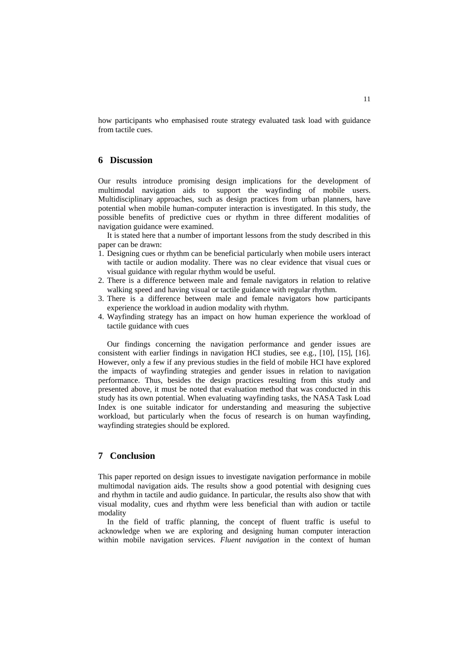how participants who emphasised route strategy evaluated task load with guidance from tactile cues.

# **6 Discussion**

Our results introduce promising design implications for the development of multimodal navigation aids to support the wayfinding of mobile users. Multidisciplinary approaches, such as design practices from urban planners, have potential when mobile human-computer interaction is investigated. In this study, the possible benefits of predictive cues or rhythm in three different modalities of navigation guidance were examined.

It is stated here that a number of important lessons from the study described in this paper can be drawn:

- 1. Designing cues or rhythm can be beneficial particularly when mobile users interact with tactile or audion modality. There was no clear evidence that visual cues or visual guidance with regular rhythm would be useful.
- 2. There is a difference between male and female navigators in relation to relative walking speed and having visual or tactile guidance with regular rhythm.
- 3. There is a difference between male and female navigators how participants experience the workload in audion modality with rhythm.
- 4. Wayfinding strategy has an impact on how human experience the workload of tactile guidance with cues

Our findings concerning the navigation performance and gender issues are consistent with earlier findings in navigation HCI studies, see e.g., [10], [15], [16]. However, only a few if any previous studies in the field of mobile HCI have explored the impacts of wayfinding strategies and gender issues in relation to navigation performance. Thus, besides the design practices resulting from this study and presented above, it must be noted that evaluation method that was conducted in this study has its own potential. When evaluating wayfinding tasks, the NASA Task Load Index is one suitable indicator for understanding and measuring the subjective workload, but particularly when the focus of research is on human wayfinding, wayfinding strategies should be explored.

# **7 Conclusion**

This paper reported on design issues to investigate navigation performance in mobile multimodal navigation aids. The results show a good potential with designing cues and rhythm in tactile and audio guidance. In particular, the results also show that with visual modality, cues and rhythm were less beneficial than with audion or tactile modality

In the field of traffic planning, the concept of fluent traffic is useful to acknowledge when we are exploring and designing human computer interaction within mobile navigation services. *Fluent navigation* in the context of human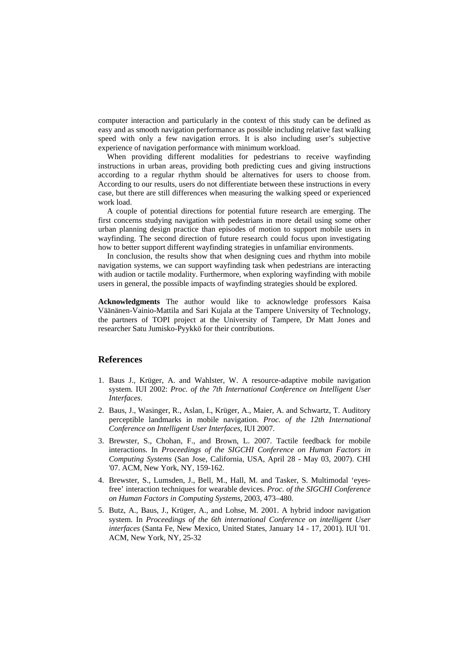computer interaction and particularly in the context of this study can be defined as easy and as smooth navigation performance as possible including relative fast walking speed with only a few navigation errors. It is also including user's subjective experience of navigation performance with minimum workload.

When providing different modalities for pedestrians to receive wayfinding instructions in urban areas, providing both predicting cues and giving instructions according to a regular rhythm should be alternatives for users to choose from. According to our results, users do not differentiate between these instructions in every case, but there are still differences when measuring the walking speed or experienced work load.

A couple of potential directions for potential future research are emerging. The first concerns studying navigation with pedestrians in more detail using some other urban planning design practice than episodes of motion to support mobile users in wayfinding. The second direction of future research could focus upon investigating how to better support different wayfinding strategies in unfamiliar environments.

In conclusion, the results show that when designing cues and rhythm into mobile navigation systems, we can support wayfinding task when pedestrians are interacting with audion or tactile modality. Furthermore, when exploring wayfinding with mobile users in general, the possible impacts of wayfinding strategies should be explored.

**Acknowledgments** The author would like to acknowledge professors Kaisa Väänänen-Vainio-Mattila and Sari Kujala at the Tampere University of Technology, the partners of TOPI project at the University of Tampere, Dr Matt Jones and researcher Satu Jumisko-Pyykkö for their contributions.

# **References**

- 1. Baus J., Krüger, A. and Wahlster, W. A resource-adaptive mobile navigation system. IUI 2002: *Proc. of the 7th International Conference on Intelligent User Interfaces*.
- 2. Baus, J., Wasinger, R., Aslan, I., Krüger, A., Maier, A. and Schwartz, T. Auditory perceptible landmarks in mobile navigation. *Proc. of the 12th International Conference on Intelligent User Interfaces*, IUI 2007.
- 3. Brewster, S., Chohan, F., and Brown, L. 2007. Tactile feedback for mobile interactions. In *Proceedings of the SIGCHI Conference on Human Factors in Computing Systems* (San Jose, California, USA, April 28 - May 03, 2007). CHI '07. ACM, New York, NY, 159-162.
- 4. Brewster, S., Lumsden, J., Bell, M., Hall, M. and Tasker, S. Multimodal 'eyesfree' interaction techniques for wearable devices. *Proc. of the SIGCHI Conference on Human Factors in Computing Systems*, 2003, 473–480.
- 5. Butz, A., Baus, J., Krüger, A., and Lohse, M. 2001. A hybrid indoor navigation system. In *Proceedings of the 6th international Conference on intelligent User interfaces* (Santa Fe, New Mexico, United States, January 14 - 17, 2001). IUI '01. ACM, New York, NY, 25-32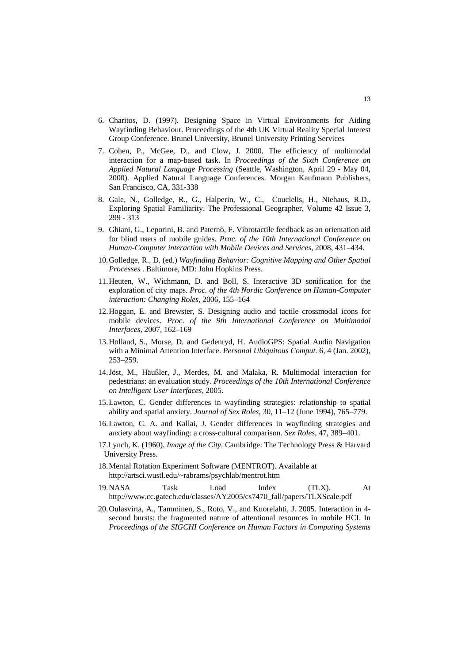- 6. Charitos, D. (1997). Designing Space in Virtual Environments for Aiding Wayfinding Behaviour. Proceedings of the 4th UK Virtual Reality Special Interest Group Conference. Brunel University, Brunel University Printing Services
- 7. Cohen, P., McGee, D., and Clow, J. 2000. The efficiency of multimodal interaction for a map-based task. In *Proceedings of the Sixth Conference on Applied Natural Language Processing* (Seattle, Washington, April 29 - May 04, 2000). Applied Natural Language Conferences. Morgan Kaufmann Publishers, San Francisco, CA, 331-338
- 8. Gale, N., Golledge, R., G., Halperin, W., C., Couclelis, H., Niehaus, R.D., Exploring Spatial Familiarity. The Professional Geographer, Volume 42 Issue 3, 299 - 313
- 9. Ghiani, G., Leporini, B. and Paternò, F. Vibrotactile feedback as an orientation aid for blind users of mobile guides. *Proc. of the 10th International Conference on Human-Computer interaction with Mobile Devices and Services*, 2008, 431–434.
- 10.Golledge, R., D. (ed.) *Wayfinding Behavior: Cognitive Mapping and Other Spatial Processes* . Baltimore, MD: John Hopkins Press.
- 11.Heuten, W., Wichmann, D. and Boll, S. Interactive 3D sonification for the exploration of city maps. *Proc. of the 4th Nordic Conference on Human-Computer interaction: Changing Roles*, 2006, 155–164
- 12.Hoggan, E. and Brewster, S. Designing audio and tactile crossmodal icons for mobile devices. *Proc. of the 9th International Conference on Multimodal Interfaces,* 2007, 162–169
- 13.Holland, S., Morse, D. and Gedenryd, H. AudioGPS: Spatial Audio Navigation with a Minimal Attention Interface. *Personal Ubiquitous Comput.* 6, 4 (Jan. 2002), 253–259.
- 14.Jöst, M., Häußler, J., Merdes, M. and Malaka, R. Multimodal interaction for pedestrians: an evaluation study. *Proceedings of the 10th International Conference on Intelligent User Interfaces*, 2005.
- 15.Lawton, C. Gender differences in wayfinding strategies: relationship to spatial ability and spatial anxiety. *Journal of Sex Roles*, 30, 11–12 (June 1994), 765–779.
- 16.Lawton, C. A. and Kallai, J. Gender differences in wayfinding strategies and anxiety about wayfinding: a cross-cultural comparison. *Sex Roles*, 47, 389–401.
- 17.Lynch, K. (1960). *Image of the City*. Cambridge: The Technology Press & Harvard University Press.
- 18.Mental Rotation Experiment Software (MENTROT). Available at http://artsci.wustl.edu/~rabrams/psychlab/mentrot.htm
- 19.NASA Task Load Index (TLX). At http://www.cc.gatech.edu/classes/AY2005/cs7470\_fall/papers/TLXScale.pdf
- 20.Oulasvirta, A., Tamminen, S., Roto, V., and Kuorelahti, J. 2005. Interaction in 4 second bursts: the fragmented nature of attentional resources in mobile HCI. In *Proceedings of the SIGCHI Conference on Human Factors in Computing Systems*